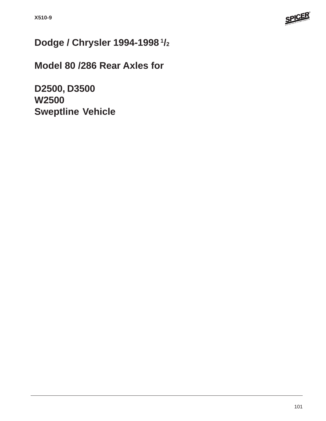

# **Dodge / Chrysler 1994-1998 1/2**

**Model 80 /286 Rear Axles for**

**D2500, D3500 W2500 Sweptline Vehicle**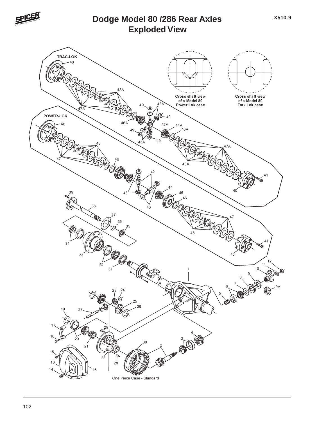

## **Exploded View Dodge Model 80 /286 Rear Axles**

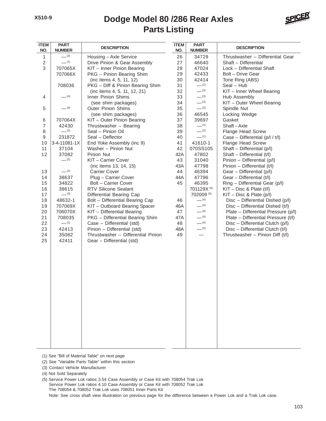### **Parts Listing Dodge Model 80 /286 Rear Axles**



| <b>ITEM</b><br>NO. | <b>PART</b><br><b>NUMBER</b> | <b>DESCRIPTION</b>                 |     | <b>PART</b><br><b>NUMBER</b> | <b>DESCRIPTION</b>                  |
|--------------------|------------------------------|------------------------------------|-----|------------------------------|-------------------------------------|
| $\mathbf{1}$       | $-^{(3)}$                    | Housing - Axle Service             | 26  | 34729                        | Thrustwasher - Differential Gear    |
| $\sqrt{2}$         | $-^{(1)}$                    | Drive Pinion & Gear Assembly       | 27  | 46640                        | Shaft - Differential                |
| 3                  | 707065X                      | KIT - Inner Pinion Bearing         | 28  | 47024                        | Lock - Differential Shaft           |
|                    | 707066X                      | PKG - Pinion Bearing Shim          | 29  | 42433                        | Bolt - Drive Gear                   |
|                    |                              | (inc items 4, 5, 11, 12)           | 30  | 42414                        | Tone Ring (ABS)                     |
|                    | 708036                       | PKG - Diff & Pinion Bearing Shim   | 31  | $-^{(2)}$                    | Seal - Hub                          |
|                    |                              | (inc items 4, 5, 11, 12, 21)       | 32  | $-^{(3)}$                    | KIT - Inner Wheel Bearing           |
| 4                  | $-$ (4)                      | Inner Pinion Shims                 | 33  | $-^{(3)}$                    | Hub Assembly                        |
|                    |                              | (see shim packages)                | 34  | $-^{(3)}$                    | KIT - Outer Wheel Bearing           |
| 5                  | $-$ (4)                      | <b>Outer Pinion Shims</b>          | 35  | $-^{(2)}$                    | Spindle Nut                         |
|                    |                              | (see shim packages)                | 36  | 46545                        | Locking Wedge                       |
| 6                  | 707064X                      | KIT - Outer Pinion Bearing         | 37  | 39697                        | Gasket                              |
| $\overline{7}$     | 42430                        | Thrustwasher - Bearing             | 38  | $-^{(1)}$                    | Shaft-Axle                          |
| 8                  | $-^{(2)}$                    | Seal - Pinion Oil                  | 39  | $-^{(2)}$                    | Flange Head Screw                   |
| 9                  | 231872                       | Seal - Deflector                   | 40  | $-^{(1)}$                    | Case - Differential (p/l / t/l)     |
| 10                 | 3-4-11081-1X                 | End Yoke Assembly (inc 9)          | 41  | 41610-1                      | Flange Head Screw                   |
| 11                 | 37104                        | Washer - Pinion Nut                | 42  | 070SS105                     | Shaft - Differential (p/l)          |
| 12                 | 37082                        | Pinion Nut                         | 42A | 47802                        | Shaft - Differential (t/l)          |
|                    | $-^{(2)}$                    | KIT - Carrier Cover                | 43  | 31040                        | Pinion - Differential (p/l)         |
|                    |                              | (inc items 13, 14, 15)             | 43A | 47798                        | Pinion - Differential (t/l)         |
| 13                 | $-^{(2)}$                    | <b>Carrier Cover</b>               | 44  | 46394                        | Gear - Differential (p/l)           |
| 14                 | 38637                        | Plug - Carrier Cover               | 44A | 47796                        | Gear - Differential (t/l)           |
| 15                 | 34822                        | <b>Bolt - Carrier Cover</b>        | 45  | 46395                        | Ring - Differential Gear (p/l)      |
| 16                 | 38615                        | RTV Silicone Sealant               |     | 701129X <sup>(5)</sup>       | $KIT - Disc 8$ Plate $(t/I)$        |
| 17                 | $-^{(3)}$                    | Differential Bearing Cap           |     | 702009 (5)                   | $KIT - Disc 8$ Plate (p/l)          |
| 18                 | 48632-1                      | Bolt - Differential Bearing Cap    | 46  | $- (4)$                      | Disc - Differential Dished (p/l)    |
| 19                 | 707069X                      | KIT - Outboard Bearing Spacer      | 46A | $- (4)$                      | Disc - Differential Dished (t/l)    |
| 20                 | 706070X                      | KIT - Differential Bearing         | 47  | $-$ (4)                      | Plate - Differential Pressure (p/l) |
| 21                 | 708035                       | PKG - Differential Bearing Shim    | 47A | $- (4)$                      | Plate - Differential Pressure (t/l) |
| 22                 | $-$ (1)                      | Case - Differential (std)          | 48  | $-$ (4)                      | Disc - Differential Clutch (p/l)    |
| 23                 | 42413                        | Pinion - Differential (std)        | 48A | $- (4)$                      | Disc - Differential Clutch (t/l)    |
| 24                 | 35082                        | Thrustwasher - Differential Pinion | 49  |                              | Thrustwasher - Pinion Diff (t/l)    |
| 25                 | 42411                        | Gear - Differential (std)          |     |                              |                                     |
|                    |                              |                                    |     |                              |                                     |
|                    |                              |                                    |     |                              |                                     |
|                    |                              |                                    |     |                              |                                     |
|                    |                              |                                    |     |                              |                                     |
|                    |                              |                                    |     |                              |                                     |
|                    |                              |                                    |     |                              |                                     |
|                    |                              |                                    |     |                              |                                     |
|                    |                              |                                    |     |                              |                                     |
|                    |                              |                                    |     |                              |                                     |
|                    |                              |                                    |     |                              |                                     |
|                    |                              |                                    |     |                              |                                     |
|                    |                              |                                    |     |                              |                                     |
|                    |                              |                                    |     |                              |                                     |
|                    |                              |                                    |     |                              |                                     |
|                    |                              |                                    |     |                              |                                     |
|                    |                              |                                    |     |                              |                                     |
|                    |                              |                                    |     |                              |                                     |
|                    |                              |                                    |     |                              |                                     |

(1) See "Bill of Material Table" on next page

(2) See "Variable Parts Table" within this section

- (3) Contact Vehicle Manufacturer
- (4) Not Sold Separately

(5) Service Power Lok ratios 3.54 Case Assembly or Case Kit with 708054 Trak Lok Service Power Lok ratios 4.10 Case Assembly or Case Kit with 708052 Trak Lok The 708054 & 708052 Trak Lok uses 708051 Inner Parts Kit Note: See cross shaft view illustration on previous page for the difference between a Power Lok and a Trak Lok case.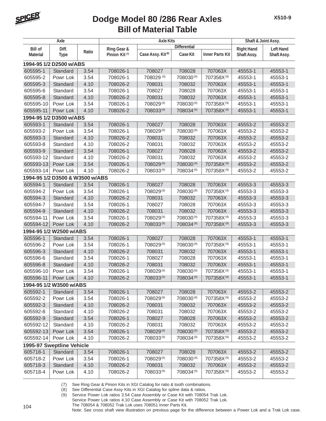

| <b>Differential</b><br><b>Right Hand</b><br><b>Bill of</b><br>Diff.<br>Ring Gear &<br>Ratio                                                       | Shaft & Joint Assy.<br><b>Left Hand</b> |  |  |  |  |  |  |  |  |
|---------------------------------------------------------------------------------------------------------------------------------------------------|-----------------------------------------|--|--|--|--|--|--|--|--|
|                                                                                                                                                   |                                         |  |  |  |  |  |  |  |  |
| Case Assy. Kit <sup>(8)</sup><br>Case Kit<br><b>Inner Parts Kit</b><br>Pinion Kit <sup>(7)</sup><br>Shaft Assy.<br><b>Material</b><br><b>Type</b> | Shaft Assy.                             |  |  |  |  |  |  |  |  |
| 1994-95 1/2 D2500 w/ABS                                                                                                                           |                                         |  |  |  |  |  |  |  |  |
| 605595-1<br>3.54<br>708028<br>707063X<br>Standard<br>708026-1<br>708027<br>45553-1                                                                | 45553-1                                 |  |  |  |  |  |  |  |  |
| 605595-2<br>Powr Lok<br>3.54<br>708026-1<br>708029 (9)<br>708030(9)<br>707358X(9)<br>45553-1                                                      | 45553-1                                 |  |  |  |  |  |  |  |  |
| 4.10<br>605595-3<br>Standard<br>708026-2<br>708031<br>708032<br>707063X<br>45553-1                                                                | 45553-1                                 |  |  |  |  |  |  |  |  |
| 605595-6<br>Standard<br>3.54<br>708026-1<br>708027<br>708028<br>707063X<br>45553-1                                                                | 45553-1                                 |  |  |  |  |  |  |  |  |
| 708032<br>605595-8<br>Standard<br>4.10<br>708026-2<br>708031<br>707063X<br>45553-1                                                                | 45553-1                                 |  |  |  |  |  |  |  |  |
| 708029(9)<br>708030(9)<br>3.54<br>708026-1<br>707358X <sup>(9)</sup><br>605595-10<br>Powr Lok<br>45553-1                                          | 45553-1                                 |  |  |  |  |  |  |  |  |
| 605595-11<br>4.10<br>708026-2<br>708033(9)<br>708034(9)<br>707358X <sup>(9)</sup><br>45553-1<br>Powr Lok                                          | 45553-1                                 |  |  |  |  |  |  |  |  |
| 1994-95 1/2 D3500 w/ABS                                                                                                                           |                                         |  |  |  |  |  |  |  |  |
| 3.54<br>605593-1<br>Standard<br>708026-1<br>708027<br>708028<br>707063X<br>45553-2                                                                | 45553-2                                 |  |  |  |  |  |  |  |  |
| 605593-2<br>3.54<br>708026-1<br>708029(9)<br>708030(9)<br>707063X<br>Powr Lok<br>45553-2                                                          | 45553-2                                 |  |  |  |  |  |  |  |  |
| 605593-3<br>4.10<br>708026-2<br>708031<br>708032<br>707063X<br>45553-2<br>Standard                                                                | 45553-2                                 |  |  |  |  |  |  |  |  |
| 4.10<br>605593-8<br>Standard<br>708026-2<br>708031<br>708032<br>707063X<br>45553-2                                                                | 45553-2                                 |  |  |  |  |  |  |  |  |
| 605593-9<br>Standard<br>3.54<br>708026-1<br>708027<br>708028<br>707063X<br>45553-2                                                                | 45553-2                                 |  |  |  |  |  |  |  |  |
| 605593-12<br>Standard<br>4.10<br>708026-2<br>708031<br>708032<br>707063X<br>45553-2                                                               | 45553-2                                 |  |  |  |  |  |  |  |  |
| 605593-13<br>3.54<br>708026-1<br>708029(9)<br>708030(9)<br>707358X(9)<br>45553-2<br>Powr Lok                                                      | 45553-2                                 |  |  |  |  |  |  |  |  |
| 4.10<br>605593-14<br>Powr Lok<br>708026-2<br>708033(9)<br>708034(9)<br>707358X <sup>(9)</sup><br>45553-2                                          | 45553-2                                 |  |  |  |  |  |  |  |  |
| 1994-95 1/2 D3500 & W3500 w/ABS                                                                                                                   |                                         |  |  |  |  |  |  |  |  |
| 605594-1<br>708026-1<br>708027<br>708028<br>707063X<br>Standard<br>3.54<br>45553-3                                                                | 45553-3                                 |  |  |  |  |  |  |  |  |
| 708029(9)<br>708030(9)<br>605594-2<br>3.54<br>708026-1<br>707358X(9)<br>45553-3<br>Powr Lok                                                       | 45553-3                                 |  |  |  |  |  |  |  |  |
| 605594-3<br>4.10<br>708026-2<br>708031<br>708032<br>707063X<br>45553-3<br>Standard                                                                | 45553-3                                 |  |  |  |  |  |  |  |  |
| 605594-7<br>3.54<br>708026-1<br>708027<br>708028<br>707063X<br>Standard<br>45553-3                                                                | 45553-3                                 |  |  |  |  |  |  |  |  |
| 605594-9<br>Standard<br>4.10<br>708026-2<br>708031<br>708032<br>707063X<br>45553-3                                                                | 45553-3                                 |  |  |  |  |  |  |  |  |
| 708029(9)<br>605594-11<br>3.54<br>708026-1<br>708030(9)<br>707358X(9)<br>Powr Lok<br>45553-3                                                      | 45553-3                                 |  |  |  |  |  |  |  |  |
| 605594-12<br>4.10<br>708026-2<br>708034(9)<br>Powr Lok<br>708033(9)<br>707358X(9)<br>45553-3                                                      | 45553-3                                 |  |  |  |  |  |  |  |  |
| 1994-95 1/2 W2500 w/ABS                                                                                                                           |                                         |  |  |  |  |  |  |  |  |
| 605596-1<br>707063X<br>45553-1<br>Standard<br>3.54<br>708026-1<br>708027<br>708028                                                                | 45553-1                                 |  |  |  |  |  |  |  |  |
| 708029(9)<br>708030(9)<br>605596-2<br>Powr Lok<br>3.54<br>708026-1<br>707358X(9)<br>45553-1                                                       | 45553-1                                 |  |  |  |  |  |  |  |  |
| 605596-3<br>4.10<br>708026-2<br>708031<br>708032<br>707063X<br>45553-1<br>Standard                                                                | 45553-1                                 |  |  |  |  |  |  |  |  |
| Standard<br>3.54<br>708026-1<br>708027<br>708028<br>707063X<br>605596-6<br>45553-1                                                                | 45553-1                                 |  |  |  |  |  |  |  |  |
| 605596-8<br>4.10<br>708026-2<br>708031<br>708032<br>707063X<br>Standard<br>45553-1                                                                | 45553-1                                 |  |  |  |  |  |  |  |  |
| 3.54<br>605596-10<br>708026-1<br>708029(9)<br>708030(9)<br>707358X <sup>(9)</sup><br>45553-1<br>Powr Lok                                          | 45553-1                                 |  |  |  |  |  |  |  |  |
| 708033(9)<br>605596-11<br>4.10<br>708026-2<br>708034(9)<br>707358X(9)<br>45553-1<br>Powr Lok                                                      | 45553-1                                 |  |  |  |  |  |  |  |  |
| 1994-95 1/2 W3500 w/ABS                                                                                                                           |                                         |  |  |  |  |  |  |  |  |
| 605592-1<br>Standard<br>708027<br>708028<br>707063X<br>3.54<br>708026-1<br>45553-2                                                                | 45553-2                                 |  |  |  |  |  |  |  |  |
| 708029(9)<br>708030(9)<br>707358X(9)<br>605592-2<br>Powr Lok<br>3.54<br>708026-1<br>45553-2                                                       | 45553-2                                 |  |  |  |  |  |  |  |  |
| 605592-3<br>4.10<br>708026-2<br>708031<br>708032<br>707063X<br>Standard<br>45553-2                                                                | 45553-2                                 |  |  |  |  |  |  |  |  |
| 605592-8<br>4.10<br>708031<br>708032<br>707063X<br>Standard<br>708026-2<br>45553-2                                                                | 45553-2                                 |  |  |  |  |  |  |  |  |
| 605592-9<br>Standard<br>3.54<br>708026-1<br>708027<br>708028<br>707063X<br>45553-2                                                                | 45553-2                                 |  |  |  |  |  |  |  |  |
| 605592-12<br>Standard<br>708031<br>708032<br>4.10<br>708026-2<br>707063X<br>45553-2                                                               | 45553-2                                 |  |  |  |  |  |  |  |  |
| 708029(9)<br>708026-1<br>708030(9)<br>707358X <sup>(9)</sup><br>605592-13<br>Powr Lok<br>3.54<br>45553-2                                          | 45553-2                                 |  |  |  |  |  |  |  |  |
| 708034(9)<br>4.10<br>708026-2<br>708033(9)<br>707358X <sup>(9)</sup><br>605592-14<br>Powr Lok<br>45553-2                                          | 45553-2                                 |  |  |  |  |  |  |  |  |
| 1995-97 Sweptline Vehicle                                                                                                                         |                                         |  |  |  |  |  |  |  |  |
| 605718-1<br>Standard<br>708026-1<br>708027<br>708028<br>707063X<br>3.54<br>45553-2                                                                | 45553-2                                 |  |  |  |  |  |  |  |  |
| 708026-1<br>708029(9)<br>708030(9)<br>605718-2<br>Powr Lok<br>3.54<br>707358X <sup>(9)</sup><br>45553-2                                           | 45553-2                                 |  |  |  |  |  |  |  |  |
| 4.10<br>708026-2<br>708031<br>708032<br>605718-3<br>Standard<br>707063X<br>45553-2                                                                | 45553-2                                 |  |  |  |  |  |  |  |  |
| 605718-4<br>Powr Lok<br>4.10<br>708026-2<br>708033(9)<br>708034(9)<br>707358X(9)<br>45553-2                                                       | 45553-2                                 |  |  |  |  |  |  |  |  |

(7) See Ring Gear & Pinion Kits in XGI Catalog for ratio & tooth combinations.

(8) See Differential Case Assy Kits in XGI Catalog for spline data & ratios.

(9) Service Power Lok ratios 3.54 Case Assembly or Case Kit with 708054 Trak Lok. Service Power Lok ratios 4.10 Case Assembly or Case Kit with 708052 Trak Lok.

The 708054 & 708052 Trak Lok uses 708051 Inner Parts Kit.

Note: See cross shaft view illustration on previous page for the difference between a Power Lok and a Trak Lok case.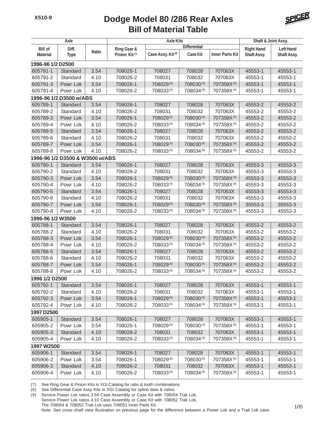

| Axle                    |                                 |             |                           | <b>Axle Kits</b>              | Shaft & Joint Assy.   |                        |                  |             |  |
|-------------------------|---------------------------------|-------------|---------------------------|-------------------------------|-----------------------|------------------------|------------------|-------------|--|
| <b>Bill of</b><br>Diff. |                                 | Ring Gear & | <b>Differential</b>       |                               |                       | <b>Right Hand</b>      | <b>Left Hand</b> |             |  |
| <b>Material</b>         | <b>Type</b>                     | Ratio       | Pinion Kit <sup>(7)</sup> | Case Assy. Kit <sup>(8)</sup> | <b>Case Kit</b>       | <b>Inner Parts Kit</b> | Shaft Assy.      | Shaft Assy. |  |
| 1996-96 1/2 D2500       |                                 |             |                           |                               |                       |                        |                  |             |  |
| 605791-1                | Standard                        | 3.54        | 708026-1                  | 708027                        | 708028                | 707063X                | 45553-1          | 45553-1     |  |
| 605791-2                | Standard                        | 4.10        | 708026-2                  | 708031                        | 708032                | 707063X                | 45553-1          | 45553-1     |  |
| 605791-3                | Powr Lok                        | 3.54        | 708026-1                  | 708029(9)                     | 708030(9)             | 707358X(9)             | 45553-1          | 45553-1     |  |
| 605791-4                | Powr Lok                        | 4.10        | 708026-2                  | 708033(9)                     | 708034(9)             | 707358X <sup>(9)</sup> | 45553-1          | 45553-1     |  |
|                         | 1996-96 1/2 D3500 w/ABS         |             |                           |                               |                       |                        |                  |             |  |
| 605789-1                | Standard                        | 3.54        | 708026-1                  | 708027                        | 708028                | 707063X                | 45553-2          | 45553-2     |  |
| 605789-2                | Standard                        | 4.10        | 708026-2                  | 708031                        | 708032                | 707063X                | 45553-2          | 45553-2     |  |
| 605789-3                | Powr Lok                        | 3.54        | 708026-1                  | 708029(9)                     | 708030(9)             | 707358X <sup>(9)</sup> | 45553-2          | 45553-2     |  |
| 605789-4                | Powr Lok                        | 4.10        | 708026-2                  | 708033(9)                     | 708034(9)             | 707358X <sup>(9)</sup> | 45553-2          | 45553-2     |  |
| 605789-5                | Standard                        | 3.54        | 708026-1                  | 708027                        | 708028                | 707063X                | 45553-2          | 45553-2     |  |
| 605789-6                | Standard                        | 4.10        | 708026-2                  | 708031                        | 708032                | 707063X                | 45553-2          | 45553-2     |  |
| 605789-7                | Powr Lok                        | 3.54        | 708026-1                  | 708029(9)                     | 708030(9)             | 707358X(9)             | 45553-2          | 45553-2     |  |
| 605789-8                | Powr Lok                        | 4.10        | 708026-2                  | 708033(9)                     | 708034(9)             | 707358X <sup>(9)</sup> | 45553-2          | 45553-2     |  |
|                         | 1996-96 1/2 D3500 & W3500 w/ABS |             |                           |                               |                       |                        |                  |             |  |
| 605790-1                | Standard                        | 3.54        | 708026-1                  | 708027                        | 708028                | 707063X                | 45553-3          | 45553-3     |  |
| 605790-2                | Standard                        | 4.10        | 708026-2                  | 708031                        | 708032                | 707063X                | 45553-3          | 45553-3     |  |
| 605790-3                | Powr Lok                        | 3.54        | 708026-1                  | 708029(9)                     | 708030 <sup>(9)</sup> | 707358X <sup>(9)</sup> | 45553-3          | 45553-3     |  |
| 605790-4                | Powr Lok                        | 4.10        | 708026-2                  | 708033(9)                     | 708034(9)             | 707358X(9)             | 45553-3          | 45553-3     |  |
| 605790-5                | Standard                        | 3.54        | 708026-1                  | 708027                        | 708028                | 707063X                | 45553-3          | 45553-3     |  |
| 605790-6                | Standard                        | 4.10        | 708026-2                  | 708031                        | 708032                | 707063X                | 45553-3          | 45553-3     |  |
| 605790-7                | Powr Lok                        | 3.54        | 708026-1                  | 708029(9)                     | 708030(9)             | 707358X(9)             | 35553-3          | 35553-3     |  |
| 605790-8                | Powr Lok                        | 4.10        | 708026-2                  | 708033(9)                     | 708034(9)             | 707358X <sup>(9)</sup> | 45553-3          | 45553-3     |  |
| 1996-96 1/2 W3500       |                                 |             |                           |                               |                       |                        |                  |             |  |
| 605788-1                | Standard                        | 3.54        | 708026-1                  | 708027                        | 708028                | 707063X                | 45553-2          | 45553-2     |  |
| 605788-2                | Standard                        | 4.10        | 708026-2                  | 708031                        | 708032                | 707063X                | 45553-2          | 45553-2     |  |
| 605788-3                | Powr Lok                        | 3.54        | 708026-1                  | 708029(9)                     | 708030(9)             | 707358X(9)             | 45553-2          | 45553-2     |  |
| 605788-4                | Powr Lok                        | 4.10        | 708026-2                  | 708033(9)                     | 708034(9)             | 707358X(9)             | 45553-2          | 45553-2     |  |
| 605788-5                | Standard                        | 3.54        | 708026-1                  | 708027                        | 708028                | 707063X                | 45553-2          | 45553-2     |  |
| 605788-6                | Standard                        | 4.10        | 708026-2                  | 708031                        | 708032                | 707063X                | 45553-2          | 45553-2     |  |
| 605788-7                | Powr Lok                        | 3.54        | 708026-1                  | 708029(9)                     | 708030 <sup>(9)</sup> | 707358X <sup>(9)</sup> | 45553-2          | 45553-2     |  |
| 605788-8                | Powr Lok                        | 4.10        | 708026-2                  | 708033(9)                     | 708034(9)             | 707358X(9)             | 45553-2          | 45553-2     |  |
| 1996 1/2 D2500          |                                 |             |                           |                               |                       |                        |                  |             |  |
| 605792-1                | Standard                        | 3.54        | 708026-1                  | 708027                        | 708028                | 707063X                | 45553-1          | 45553-1     |  |
| 605792-2                | Standard                        | 4.10        | 708026-2                  | 708031                        | 708032                | 707063X                | 45553-1          | 45553-1     |  |
| 605792-3                | Powr Lok                        | 3.54        | 708026-1                  | 708029(9)                     | 708030(9)             | 707358X(9)             | 45553-1          | 45553-1     |  |
| 605792-4                | Powr Lok                        | 4.10        | 708026-2                  | 708033(9)                     | 708034(9)             | 707358X(9)             | 45553-1          | 45553-1     |  |
| 1997 D2500              |                                 |             |                           |                               |                       |                        |                  |             |  |
| 605905-1                | Standard                        | 3.54        | 708026-1                  | 708027                        | 708028                | 707063X                | 45553-1          | 45553-1     |  |
| 605905-2                | Powr Lok                        | 3.54        | 708026-1                  | 708029(9)                     | 708030(9)             | 707358X(9)             | 45553-1          | 45553-1     |  |
| 605905-3                | Standard                        | 4.10        | 708026-2                  | 708031                        | 708032                | 707063X                | 45553-1          | 45553-1     |  |
| 605905-4                | Powr Lok                        | 4.10        | 708026-2                  | 708033(9)                     | 708034(9)             | 707358X(9)             | 45553-1          | 45553-1     |  |
| 1997 W2500              |                                 |             |                           |                               |                       |                        |                  |             |  |
| 605906-1                | Standard                        | 3.54        | 708026-1                  | 708027                        | 708028                | 707063X                | 45553-1          | 45553-1     |  |
| 605906-2                | Powr Lok                        | 3.54        | 708026-1                  | 708029(9)                     | 708030(9)             | 707358X(9)             | 45553-1          | 45553-1     |  |
| 605906-3                | Standard                        | 4.10        | 708026-2                  | 708031                        | 708032                | 707063X                | 45553-1          | 45553-1     |  |
| 605906-4                | Powr Lok                        | 4.10        | 708026-2                  | 708033(9)                     | 708034(9)             | 707358X <sup>(9)</sup> | 45553-1          | 45553-1     |  |
|                         |                                 |             |                           |                               |                       |                        |                  |             |  |

(7) See Ring Gear & Pinion Kits in XGI Catalog for ratio & tooth combinations.

(8) See Differential Case Assy Kits in XGI Catalog for spline data & ratios.

(9) Service Power Lok ratios 3.54 Case Assembly or Case Kit with 708054 Trak Lok. Service Power Lok ratios 4.10 Case Assembly or Case Kit with 708052 Trak Lok. The 708054 & 708052 Trak Lok uses 708051 Inner Parts Kit. Note: See cross shaft view illustration on previous page for the difference between a Power Lok and a Trak Lok case.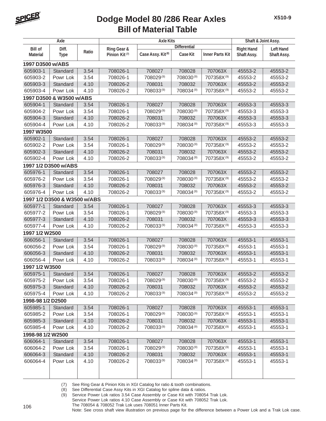

| Axle                     |                              |       | <b>Axle Kits</b>          |                               |                       |                        | Shaft & Joint Assy. |                  |  |
|--------------------------|------------------------------|-------|---------------------------|-------------------------------|-----------------------|------------------------|---------------------|------------------|--|
| <b>Bill of</b>           | Diff.                        |       | <b>Ring Gear &amp;</b>    |                               | <b>Differential</b>   |                        | <b>Right Hand</b>   | <b>Left Hand</b> |  |
| <b>Material</b>          | <b>Type</b>                  | Ratio | Pinion Kit <sup>(7)</sup> | Case Assy. Kit <sup>(8)</sup> | Case Kit              | <b>Inner Parts Kit</b> | Shaft Assy.         | Shaft Assy.      |  |
| 1997 D3500 w/ABS         |                              |       |                           |                               |                       |                        |                     |                  |  |
| 605903-1                 | Standard                     | 3.54  | 708026-1                  | 708027                        | 708028                | 707063X                | 45553-2             | 45553-2          |  |
| 605903-2                 | Powr Lok                     | 3.54  | 708026-1                  | 708029(9)                     | 708030(9)             | 707358X(9)             | 45553-2             | 45553-2          |  |
| 605903-3                 | Standard                     | 4.10  | 708026-2                  | 708031                        | 708032                | 707063X                | 45553-2             | 45553-2          |  |
| 605903-4                 | Powr Lok                     | 4.10  | 708026-2                  | 708033(9)                     | 708034(9)             | 707358X(9)             | 45553-2             | 45553-2          |  |
| 1997 D3500 & W3500 w/ABS |                              |       |                           |                               |                       |                        |                     |                  |  |
| 605904-1                 | Standard                     | 3.54  | 708026-1                  | 708027                        | 708028                | 707063X                | 45553-3             | 45553-3          |  |
| 605904-2                 | Powr Lok                     | 3.54  | 708026-1                  | 708029(9)                     | 708030 <sup>(9)</sup> | 707358X <sup>(9)</sup> | 45553-3             | 45553-3          |  |
| 605904-3                 | Standard                     | 4.10  | 708026-2                  | 708031                        | 708032                | 707063X                | 45553-3             | 45553-3          |  |
| 605904-4                 | Powr Lok                     | 4.10  | 708026-2                  | 708033(9)                     | 708034(9)             | 707358X(9)             | 45553-3             | 45553-3          |  |
| 1997 W3500               |                              |       |                           |                               |                       |                        |                     |                  |  |
| 605902-1                 | Standard                     | 3.54  | 708026-1                  | 708027                        | 708028                | 707063X                | 45553-2             | 45553-2          |  |
| 605902-2                 | Powr Lok                     | 3.54  | 708026-1                  | 708029(9)                     | 708030(9)             | 707358X(9)             | 45553-2             | 45553-2          |  |
| 605902-3                 | Standard                     | 4.10  | 708026-2                  | 708031                        | 708032                | 707063X                | 45553-2             | 45553-2          |  |
| 605902-4                 | Powr Lok                     | 4.10  | 708026-2                  | 708033(9)                     | 708034 <sup>(9)</sup> | 707358X <sup>(9)</sup> | 45553-2             | 45553-2          |  |
|                          | 1997 1/2 D3500 w/ABS         |       |                           |                               |                       |                        |                     |                  |  |
| 605976-1                 | Standard                     | 3.54  | 708026-1                  | 708027                        | 708028                | 707063X                | 45553-2             | 45553-2          |  |
| 605976-2                 | Powr Lok                     | 3.54  | 708026-1                  | 708029(9)                     | 708030(9)             | 707358X(9)             | 45553-2             | 45553-2          |  |
| 605976-3                 | Standard                     | 4.10  | 708026-2                  | 708031                        | 708032                | 707063X                | 45553-2             | 45553-2          |  |
| 605976-4                 | Powr Lok                     | 4.10  | 708026-2                  | 708033(9)                     | 708034(9)             | 707358X <sup>(9)</sup> | 45553-2             | 45553-2          |  |
|                          | 1997 1/2 D3500 & W3500 w/ABS |       |                           |                               |                       |                        |                     |                  |  |
| 605977-1                 | Standard                     | 3.54  | 708026-1                  | 708027                        | 708028                | 707063X                | 45553-3             | 45553-3          |  |
| 605977-2                 | Powr Lok                     | 3.54  | 708026-1                  | 708029(9)                     | 708030(9)             | 707358X(9)             | 45553-3             | 45553-3          |  |
| 605977-3                 | Standard                     | 4.10  | 708026-2                  | 708031                        | 708032                | 707063X                | 45553-3             | 45553-3          |  |
| 605977-4                 | Powr Lok                     | 4.10  | 708026-2                  | 708033(9)                     | 708034 <sup>(9)</sup> | 707358X(9)             | 45553-3             | 45553-3          |  |
| 1997 1/2 W2500           |                              |       |                           |                               |                       |                        |                     |                  |  |
| 606056-1                 | Standard                     | 3.54  | 708026-1                  | 708027                        | 708028                | 707063X                | 45553-1             | 45553-1          |  |
| 606056-2                 | Powr Lok                     | 3.54  | 708026-1                  | 708029(9)                     | 708030(9)             | 707358X(9)             | 45553-1             | 45553-1          |  |
| 606056-3                 | Standard                     | 4.10  | 708026-2                  | 708031                        | 708032                | 707063X                | 45553-1             | 45553-1          |  |
| 606056-4                 | Powr Lok                     | 4.10  | 708026-2                  | 708033(9)                     | 708034(9)             | 707358X(9)             | 45553-1             | 45553-1          |  |
| 1997 1/2 W3500           |                              |       |                           |                               |                       |                        |                     |                  |  |
| 605975-1                 | Standard                     | 3.54  | 708026-1                  | 708027                        | 708028                | 707063X                | 45553-2             | 45553-2          |  |
| 605975-2                 | Powr Lok                     | 3.54  | 708026-1                  | 708029(9)                     | 708030(9)             | 707358X <sup>(9)</sup> | 45553-2             | 45553-2          |  |
| 605975-3                 | Standard                     | 4.10  | 708026-2                  | 708031                        | 708032                | 707063X                | 45553-2             | 45553-2          |  |
| 605975-4                 | Powr Lok                     | 4.10  | 708026-2                  | 708033(9)                     | 708034(9)             | 707358X(9)             | 45553-2             | 45553-2          |  |
| 1998-98 1/2 D2500        |                              |       |                           |                               |                       |                        |                     |                  |  |
| 605985-1                 | Standard                     | 3.54  | 708026-1                  | 708027                        | 708028                | 707063X                | 45553-1             | 45553-1          |  |
| 605985-2                 | Powr Lok                     | 3.54  | 708026-1                  | 708029(9)                     | 708030(9)             | 707358X(9)             | 45553-1             | 45553-1          |  |
| 605985-3                 | Standard                     | 4.10  | 708026-2                  | 708031                        | 708032                | 707063X                | 45553-1             | 45553-1          |  |
| 605985-4                 | Powr Lok                     | 4.10  | 708026-2                  | 708033(9)                     | 708034(9)             | 707358X <sup>(9)</sup> | 45553-1             | 45553-1          |  |
| 1998-98 1/2 W2500        |                              |       |                           |                               |                       |                        |                     |                  |  |
| 606064-1                 | Standard                     | 3.54  | 708026-1                  | 708027                        | 708028                | 707063X                | 45553-1             | 45553-1          |  |
| 606064-2                 | Powr Lok                     | 3.54  | 708026-1                  | 708029(9)                     | 708030(9)             | 707358X(9)             | 45553-1             | 45553-1          |  |
| 606064-3                 | Standard                     | 4.10  | 708026-2                  | 708031                        | 708032                | 707063X                | 45553-1             | 45553-1          |  |
| 606064-4                 |                              | 4.10  | 708026-2                  | 708033(9)                     | 708034(9)             | 707358X(9)             |                     | 45553-1          |  |
|                          | Powr Lok                     |       |                           |                               |                       |                        | 45553-1             |                  |  |
|                          |                              |       |                           |                               |                       |                        |                     |                  |  |
|                          |                              |       |                           |                               |                       |                        |                     |                  |  |

(7) See Ring Gear & Pinion Kits in XGI Catalog for ratio & tooth combinations.

(8) See Differential Case Assy Kits in XGI Catalog for spline data & ratios.

(9) Service Power Lok ratios 3.54 Case Assembly or Case Kit with 708054 Trak Lok. Service Power Lok ratios 4.10 Case Assembly or Case Kit with 708052 Trak Lok.

The 708054 & 708052 Trak Lok uses 708051 Inner Parts Kit.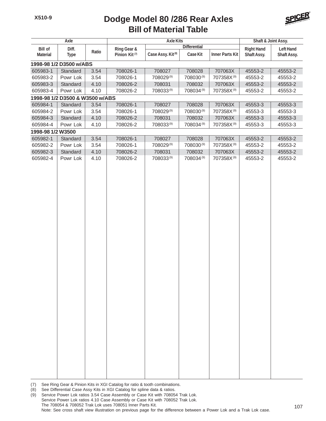

|                                                             | Axle                            |              |                           | <b>Axle Kits</b>              |                     |                                       | Shaft & Joint Assy. |                    |  |  |  |
|-------------------------------------------------------------|---------------------------------|--------------|---------------------------|-------------------------------|---------------------|---------------------------------------|---------------------|--------------------|--|--|--|
| <b>Bill of</b><br>Diff.<br>Ratio<br><b>Material</b><br>Type |                                 | Ring Gear &  |                           | <b>Differential</b>           |                     | <b>Right Hand</b><br><b>Left Hand</b> |                     |                    |  |  |  |
|                                                             |                                 |              | Pinion Kit <sup>(7)</sup> | Case Assy. Kit <sup>(8)</sup> | Case Kit            | <b>Inner Parts Kit</b>                | Shaft Assy.         | Shaft Assy.        |  |  |  |
|                                                             | 1998-98 1/2 D3500 w/ABS         |              |                           |                               |                     |                                       |                     |                    |  |  |  |
| 605983-1                                                    | Standard                        | 3.54         | 708026-1                  | 708027                        | 708028              | 707063X                               | 45553-2             | 45553-2            |  |  |  |
| 605983-2                                                    | Powr Lok                        | 3.54         | 708026-1                  | 708029(9)                     | 708030(9)           | 707358X(9)                            | 45553-2             | 45553-2            |  |  |  |
| 605983-3                                                    | Standard                        | 4.10         | 708026-2                  | 708031                        | 708032              | 707063X                               | 45553-2             | 45553-2            |  |  |  |
| 605983-4                                                    | Powr Lok                        | 4.10         | 708026-2                  | 708033(9)                     | 708034(9)           | 707358X(9)                            | 45553-2             | 45553-2            |  |  |  |
|                                                             | 1998-98 1/2 D3500 & W3500 w/ABS |              |                           |                               |                     |                                       |                     |                    |  |  |  |
| 605984-1                                                    | Standard                        | 3.54         | 708026-1                  | 708027                        | 708028              | 707063X                               | 45553-3             | 45553-3            |  |  |  |
| 605984-2                                                    | Powr Lok                        | 3.54         | 708026-1                  | 708029(9)                     | 708030(9)           | 707358X <sup>(9)</sup>                | 45553-3             | 45553-3            |  |  |  |
| 605984-3                                                    | Standard                        | 4.10         | 708026-2                  | 708031                        | 708032              | 707063X                               | 45553-3             | 45553-3            |  |  |  |
| 605984-4                                                    | Powr Lok                        | 4.10         | 708026-2                  | 708033(9)                     | 708034(9)           | 707358X(9)                            | 45553-3             | 45553-3            |  |  |  |
| 1998-98 1/2 W3500                                           |                                 |              |                           |                               |                     |                                       |                     |                    |  |  |  |
| 605982-1                                                    | Standard                        | 3.54         | 708026-1                  | 708027                        | 708028              | 707063X                               | 45553-2             | 45553-2            |  |  |  |
| 605982-2                                                    | Powr Lok                        | 3.54         | 708026-1                  | 708029(9)                     | 708030(9)           | 707358X(9)                            | 45553-2             | 45553-2            |  |  |  |
| 605982-3<br>605982-4                                        | Standard<br>Powr Lok            | 4.10<br>4.10 | 708026-2<br>708026-2      | 708031<br>708033(9)           | 708032<br>708034(9) | 707063X<br>707358X <sup>(9)</sup>     | 45553-2<br>45553-2  | 45553-2<br>45553-2 |  |  |  |
|                                                             |                                 |              |                           |                               |                     |                                       |                     |                    |  |  |  |

<sup>(7)</sup> See Ring Gear & Pinion Kits in XGI Catalog for ratio & tooth combinations.

<sup>(8)</sup> See Differential Case Assy Kits in XGI Catalog for spline data & ratios.

<sup>(9)</sup> Service Power Lok ratios 3.54 Case Assembly or Case Kit with 708054 Trak Lok. Service Power Lok ratios 4.10 Case Assembly or Case Kit with 708052 Trak Lok. The 708054 & 708052 Trak Lok uses 708051 Inner Parts Kit. Note: See cross shaft view illustration on previous page for the difference between a Power Lok and a Trak Lok case.